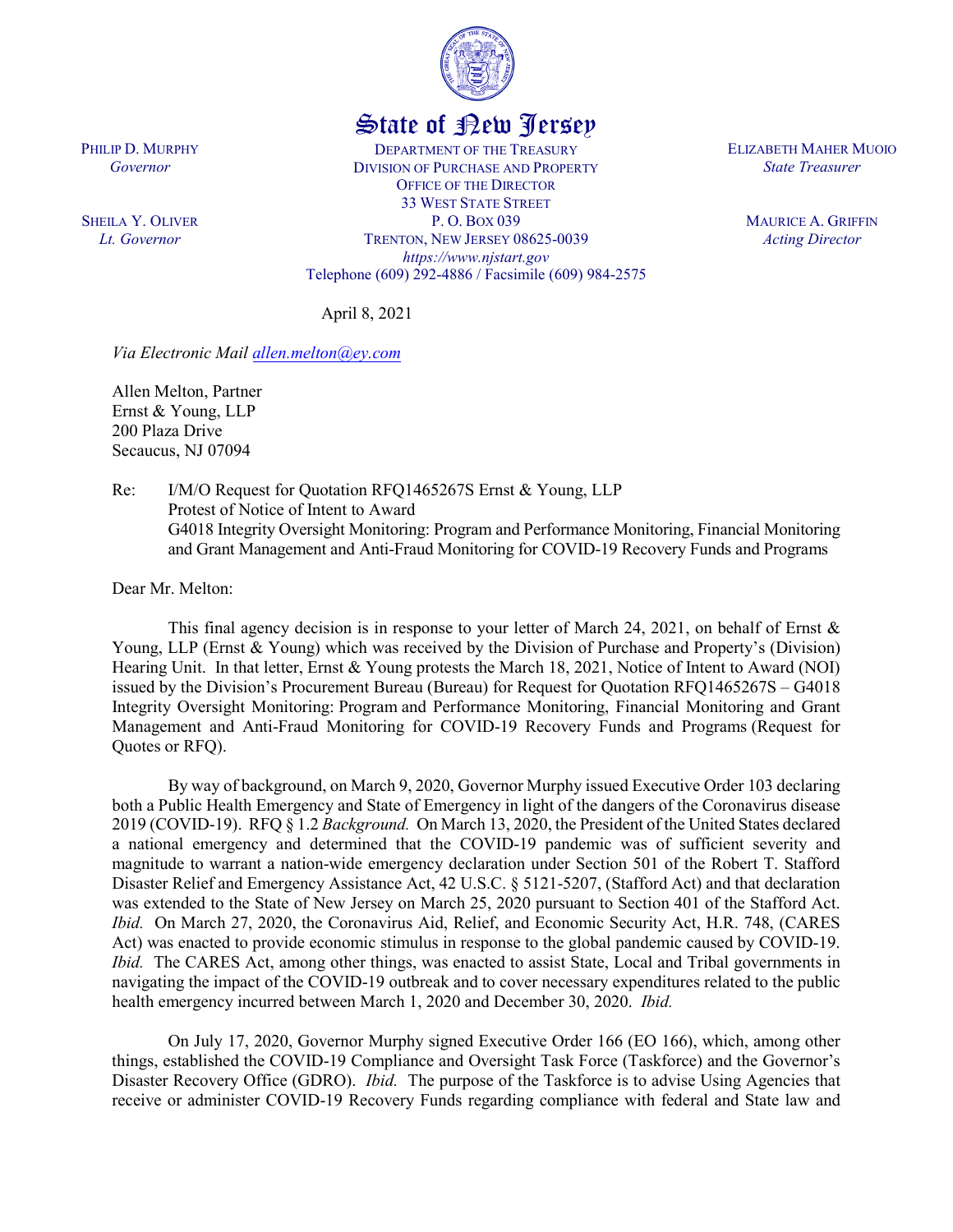

## State of New Jersey

DEPARTMENT OF THE TREASURY DIVISION OF PURCHASE AND PROPERTY OFFICE OF THE DIRECTOR 33 WEST STATE STREET P. O. BOX 039 TRENTON, NEW JERSEY 08625-0039 *https://www.njstart.gov* Telephone (609) 292-4886 / Facsimile (609) 984-2575 ELIZABETH MAHER MUOIO *State Treasurer*

> MAURICE A. GRIFFIN *Acting Director*

April 8, 2021

*Via Electronic Mail [allen.melton@ey.com](mailto:allen.melton@ey.com)*

Allen Melton, Partner Ernst & Young, LLP 200 Plaza Drive Secaucus, NJ 07094

Re: I/M/O Request for Quotation RFQ1465267S Ernst & Young, LLP Protest of Notice of Intent to Award G4018 Integrity Oversight Monitoring: Program and Performance Monitoring, Financial Monitoring and Grant Management and Anti-Fraud Monitoring for COVID-19 Recovery Funds and Programs

Dear Mr. Melton:

This final agency decision is in response to your letter of March 24, 2021, on behalf of Ernst  $\&$ Young, LLP (Ernst & Young) which was received by the Division of Purchase and Property's (Division) Hearing Unit. In that letter, Ernst & Young protests the March 18, 2021, Notice of Intent to Award (NOI) issued by the Division's Procurement Bureau (Bureau) for Request for Quotation RFQ1465267S – G4018 Integrity Oversight Monitoring: Program and Performance Monitoring, Financial Monitoring and Grant Management and Anti-Fraud Monitoring for COVID-19 Recovery Funds and Programs (Request for Quotes or RFQ).

By way of background, on March 9, 2020, Governor Murphy issued Executive Order 103 declaring both a Public Health Emergency and State of Emergency in light of the dangers of the Coronavirus disease 2019 (COVID-19). RFQ § 1.2 *Background.* On March 13, 2020, the President of the United States declared a national emergency and determined that the COVID-19 pandemic was of sufficient severity and magnitude to warrant a nation-wide emergency declaration under Section 501 of the Robert T. Stafford Disaster Relief and Emergency Assistance Act, 42 U.S.C. § 5121-5207, (Stafford Act) and that declaration was extended to the State of New Jersey on March 25, 2020 pursuant to Section 401 of the Stafford Act. *Ibid.* On March 27, 2020, the Coronavirus Aid, Relief, and Economic Security Act, H.R. 748, (CARES Act) was enacted to provide economic stimulus in response to the global pandemic caused by COVID-19. *Ibid.* The CARES Act, among other things, was enacted to assist State, Local and Tribal governments in navigating the impact of the COVID-19 outbreak and to cover necessary expenditures related to the public health emergency incurred between March 1, 2020 and December 30, 2020. *Ibid.*

On July 17, 2020, Governor Murphy signed Executive Order 166 (EO 166), which, among other things, established the COVID-19 Compliance and Oversight Task Force (Taskforce) and the Governor's Disaster Recovery Office (GDRO). *Ibid.* The purpose of the Taskforce is to advise Using Agencies that receive or administer COVID-19 Recovery Funds regarding compliance with federal and State law and

PHILIP D. MURPHY *Governor*

SHEILA Y. OLIVER *Lt. Governor*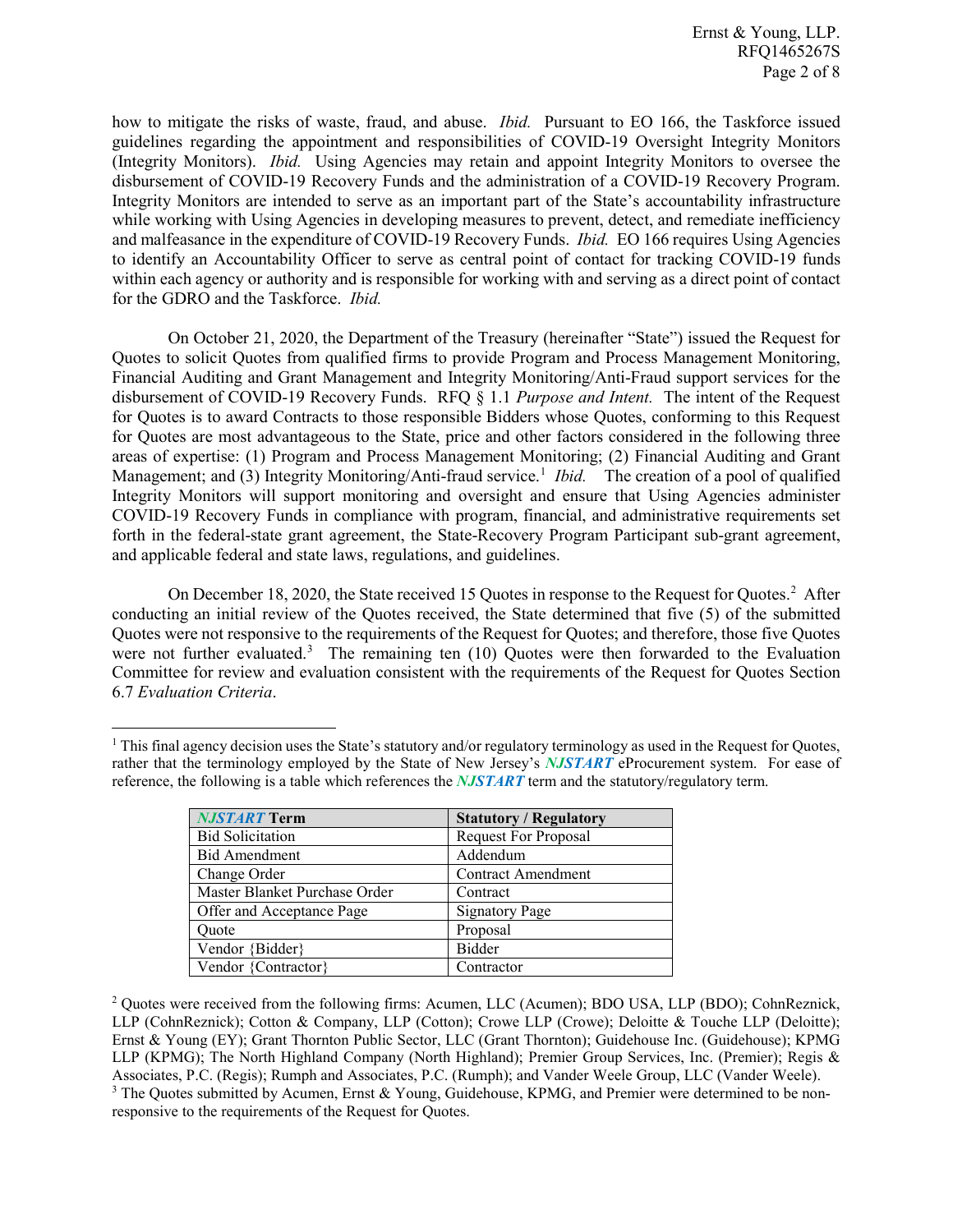how to mitigate the risks of waste, fraud, and abuse. *Ibid.* Pursuant to EO 166, the Taskforce issued guidelines regarding the appointment and responsibilities of COVID-19 Oversight Integrity Monitors (Integrity Monitors). *Ibid.* Using Agencies may retain and appoint Integrity Monitors to oversee the disbursement of COVID-19 Recovery Funds and the administration of a COVID-19 Recovery Program. Integrity Monitors are intended to serve as an important part of the State's accountability infrastructure while working with Using Agencies in developing measures to prevent, detect, and remediate inefficiency and malfeasance in the expenditure of COVID-19 Recovery Funds. *Ibid.* EO 166 requires Using Agencies to identify an Accountability Officer to serve as central point of contact for tracking COVID-19 funds within each agency or authority and is responsible for working with and serving as a direct point of contact for the GDRO and the Taskforce. *Ibid.*

On October 21, 2020, the Department of the Treasury (hereinafter "State") issued the Request for Quotes to solicit Quotes from qualified firms to provide Program and Process Management Monitoring, Financial Auditing and Grant Management and Integrity Monitoring/Anti-Fraud support services for the disbursement of COVID-19 Recovery Funds. RFQ § 1.1 *Purpose and Intent.* The intent of the Request for Quotes is to award Contracts to those responsible Bidders whose Quotes, conforming to this Request for Quotes are most advantageous to the State, price and other factors considered in the following three areas of expertise: (1) Program and Process Management Monitoring; (2) Financial Auditing and Grant Management; and (3) Integrity Monitoring/Anti-fraud service.<sup>[1](#page-1-0)</sup> Ibid. The creation of a pool of qualified Integrity Monitors will support monitoring and oversight and ensure that Using Agencies administer COVID-19 Recovery Funds in compliance with program, financial, and administrative requirements set forth in the federal-state grant agreement, the State-Recovery Program Participant sub-grant agreement, and applicable federal and state laws, regulations, and guidelines.

On December 18, [2](#page-1-1)020, the State received 15 Quotes in response to the Request for Quotes.<sup>2</sup> After conducting an initial review of the Quotes received, the State determined that five (5) of the submitted Quotes were not responsive to the requirements of the Request for Quotes; and therefore, those five Quotes were not further evaluated.<sup>[3](#page-1-2)</sup> The remaining ten  $(10)$  Quotes were then forwarded to the Evaluation Committee for review and evaluation consistent with the requirements of the Request for Quotes Section 6.7 *Evaluation Criteria*.

<span id="page-1-0"></span> $1$  This final agency decision uses the State's statutory and/or regulatory terminology as used in the Request for Quotes, rather that the terminology employed by the State of New Jersey's *NJSTART* eProcurement system. For ease of reference, the following is a table which references the *NJSTART* term and the statutory/regulatory term.

| <b>NJSTART Term</b>           | <b>Statutory / Regulatory</b> |
|-------------------------------|-------------------------------|
| <b>Bid Solicitation</b>       | <b>Request For Proposal</b>   |
| <b>Bid Amendment</b>          | Addendum                      |
| Change Order                  | <b>Contract Amendment</b>     |
| Master Blanket Purchase Order | Contract                      |
| Offer and Acceptance Page     | <b>Signatory Page</b>         |
| Ouote                         | Proposal                      |
| Vendor {Bidder}               | <b>Bidder</b>                 |
| Vendor {Contractor}           | Contractor                    |

 $\overline{\phantom{a}}$ 

<span id="page-1-2"></span><span id="page-1-1"></span><sup>2</sup> Quotes were received from the following firms: Acumen, LLC (Acumen); BDO USA, LLP (BDO); CohnReznick, LLP (CohnReznick); Cotton & Company, LLP (Cotton); Crowe LLP (Crowe); Deloitte & Touche LLP (Deloitte); Ernst & Young (EY); Grant Thornton Public Sector, LLC (Grant Thornton); Guidehouse Inc. (Guidehouse); KPMG LLP (KPMG); The North Highland Company (North Highland); Premier Group Services, Inc. (Premier); Regis & Associates, P.C. (Regis); Rumph and Associates, P.C. (Rumph); and Vander Weele Group, LLC (Vander Weele). <sup>3</sup> The Quotes submitted by Acumen, Ernst & Young, Guidehouse, KPMG, and Premier were determined to be nonresponsive to the requirements of the Request for Quotes.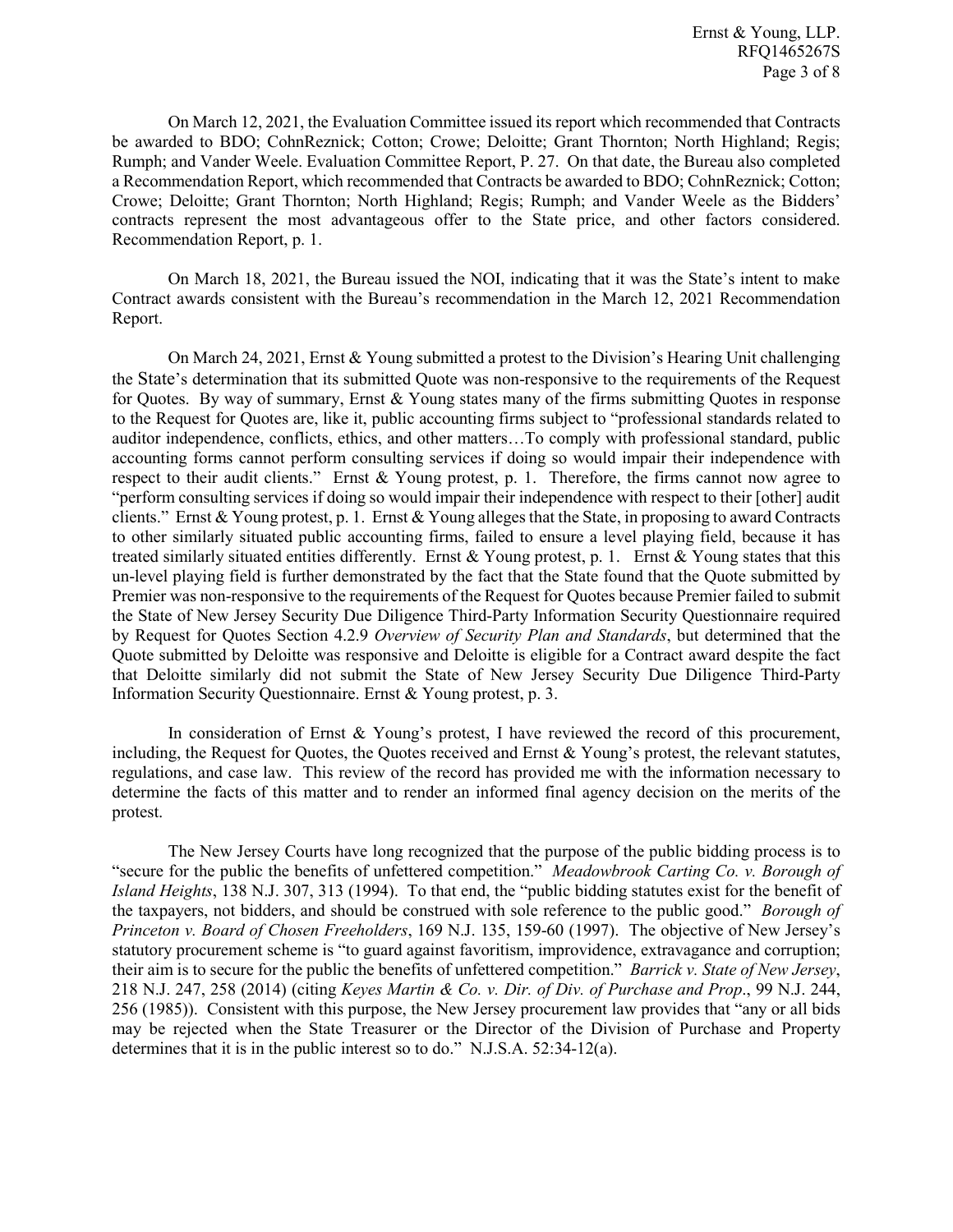On March 12, 2021, the Evaluation Committee issued its report which recommended that Contracts be awarded to BDO; CohnReznick; Cotton; Crowe; Deloitte; Grant Thornton; North Highland; Regis; Rumph; and Vander Weele. Evaluation Committee Report, P. 27. On that date, the Bureau also completed a Recommendation Report, which recommended that Contracts be awarded to BDO; CohnReznick; Cotton; Crowe; Deloitte; Grant Thornton; North Highland; Regis; Rumph; and Vander Weele as the Bidders' contracts represent the most advantageous offer to the State price, and other factors considered. Recommendation Report, p. 1.

On March 18, 2021, the Bureau issued the NOI, indicating that it was the State's intent to make Contract awards consistent with the Bureau's recommendation in the March 12, 2021 Recommendation Report.

On March 24, 2021, Ernst & Young submitted a protest to the Division's Hearing Unit challenging the State's determination that its submitted Quote was non-responsive to the requirements of the Request for Quotes. By way of summary, Ernst & Young states many of the firms submitting Quotes in response to the Request for Quotes are, like it, public accounting firms subject to "professional standards related to auditor independence, conflicts, ethics, and other matters…To comply with professional standard, public accounting forms cannot perform consulting services if doing so would impair their independence with respect to their audit clients." Ernst & Young protest, p. 1. Therefore, the firms cannot now agree to "perform consulting services if doing so would impair their independence with respect to their [other] audit clients." Ernst & Young protest, p. 1. Ernst & Young alleges that the State, in proposing to award Contracts to other similarly situated public accounting firms, failed to ensure a level playing field, because it has treated similarly situated entities differently. Ernst & Young protest, p. 1. Ernst & Young states that this un-level playing field is further demonstrated by the fact that the State found that the Quote submitted by Premier was non-responsive to the requirements of the Request for Quotes because Premier failed to submit the State of New Jersey Security Due Diligence Third-Party Information Security Questionnaire required by Request for Quotes Section 4.2.9 *Overview of Security Plan and Standards*, but determined that the Quote submitted by Deloitte was responsive and Deloitte is eligible for a Contract award despite the fact that Deloitte similarly did not submit the State of New Jersey Security Due Diligence Third-Party Information Security Questionnaire. Ernst & Young protest, p. 3.

In consideration of Ernst & Young's protest, I have reviewed the record of this procurement, including, the Request for Quotes, the Quotes received and Ernst & Young's protest, the relevant statutes, regulations, and case law. This review of the record has provided me with the information necessary to determine the facts of this matter and to render an informed final agency decision on the merits of the protest.

The New Jersey Courts have long recognized that the purpose of the public bidding process is to "secure for the public the benefits of unfettered competition." *Meadowbrook Carting Co. v. Borough of Island Heights*, 138 N.J. 307, 313 (1994). To that end, the "public bidding statutes exist for the benefit of the taxpayers, not bidders, and should be construed with sole reference to the public good." *Borough of Princeton v. Board of Chosen Freeholders*, 169 N.J. 135, 159-60 (1997). The objective of New Jersey's statutory procurement scheme is "to guard against favoritism, improvidence, extravagance and corruption; their aim is to secure for the public the benefits of unfettered competition." *Barrick v. State of New Jersey*, 218 N.J. 247, 258 (2014) (citing *Keyes Martin & Co. v. Dir. of Div. of Purchase and Prop*., 99 N.J. 244, 256 (1985)). Consistent with this purpose, the New Jersey procurement law provides that "any or all bids may be rejected when the State Treasurer or the Director of the Division of Purchase and Property determines that it is in the public interest so to do." N.J.S.A. 52:34-12(a).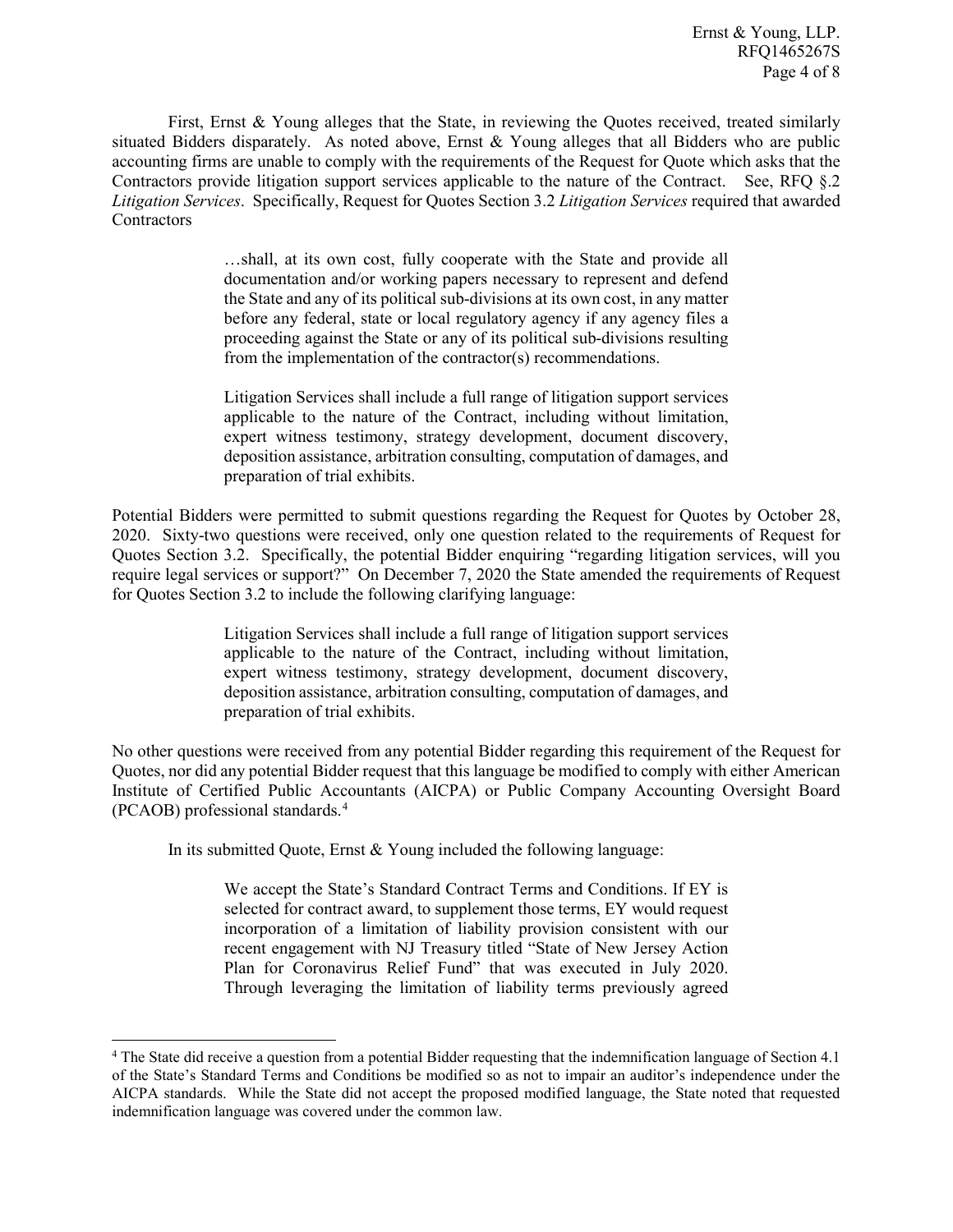First, Ernst & Young alleges that the State, in reviewing the Quotes received, treated similarly situated Bidders disparately. As noted above, Ernst & Young alleges that all Bidders who are public accounting firms are unable to comply with the requirements of the Request for Quote which asks that the Contractors provide litigation support services applicable to the nature of the Contract. See, RFQ §.2 *Litigation Services*. Specifically, Request for Quotes Section 3.2 *Litigation Services* required that awarded **Contractors** 

> …shall, at its own cost, fully cooperate with the State and provide all documentation and/or working papers necessary to represent and defend the State and any of its political sub-divisions at its own cost, in any matter before any federal, state or local regulatory agency if any agency files a proceeding against the State or any of its political sub-divisions resulting from the implementation of the contractor(s) recommendations.

> Litigation Services shall include a full range of litigation support services applicable to the nature of the Contract, including without limitation, expert witness testimony, strategy development, document discovery, deposition assistance, arbitration consulting, computation of damages, and preparation of trial exhibits.

Potential Bidders were permitted to submit questions regarding the Request for Quotes by October 28, 2020. Sixty-two questions were received, only one question related to the requirements of Request for Quotes Section 3.2. Specifically, the potential Bidder enquiring "regarding litigation services, will you require legal services or support?" On December 7, 2020 the State amended the requirements of Request for Quotes Section 3.2 to include the following clarifying language:

> Litigation Services shall include a full range of litigation support services applicable to the nature of the Contract, including without limitation, expert witness testimony, strategy development, document discovery, deposition assistance, arbitration consulting, computation of damages, and preparation of trial exhibits.

No other questions were received from any potential Bidder regarding this requirement of the Request for Quotes, nor did any potential Bidder request that this language be modified to comply with either American Institute of Certified Public Accountants (AICPA) or Public Company Accounting Oversight Board (PCAOB) professional standards.[4](#page-3-0)

In its submitted Quote, Ernst & Young included the following language:

l

We accept the State's Standard Contract Terms and Conditions. If EY is selected for contract award, to supplement those terms, EY would request incorporation of a limitation of liability provision consistent with our recent engagement with NJ Treasury titled "State of New Jersey Action Plan for Coronavirus Relief Fund" that was executed in July 2020. Through leveraging the limitation of liability terms previously agreed

<span id="page-3-0"></span><sup>&</sup>lt;sup>4</sup> The State did receive a question from a potential Bidder requesting that the indemnification language of Section 4.1 of the State's Standard Terms and Conditions be modified so as not to impair an auditor's independence under the AICPA standards. While the State did not accept the proposed modified language, the State noted that requested indemnification language was covered under the common law.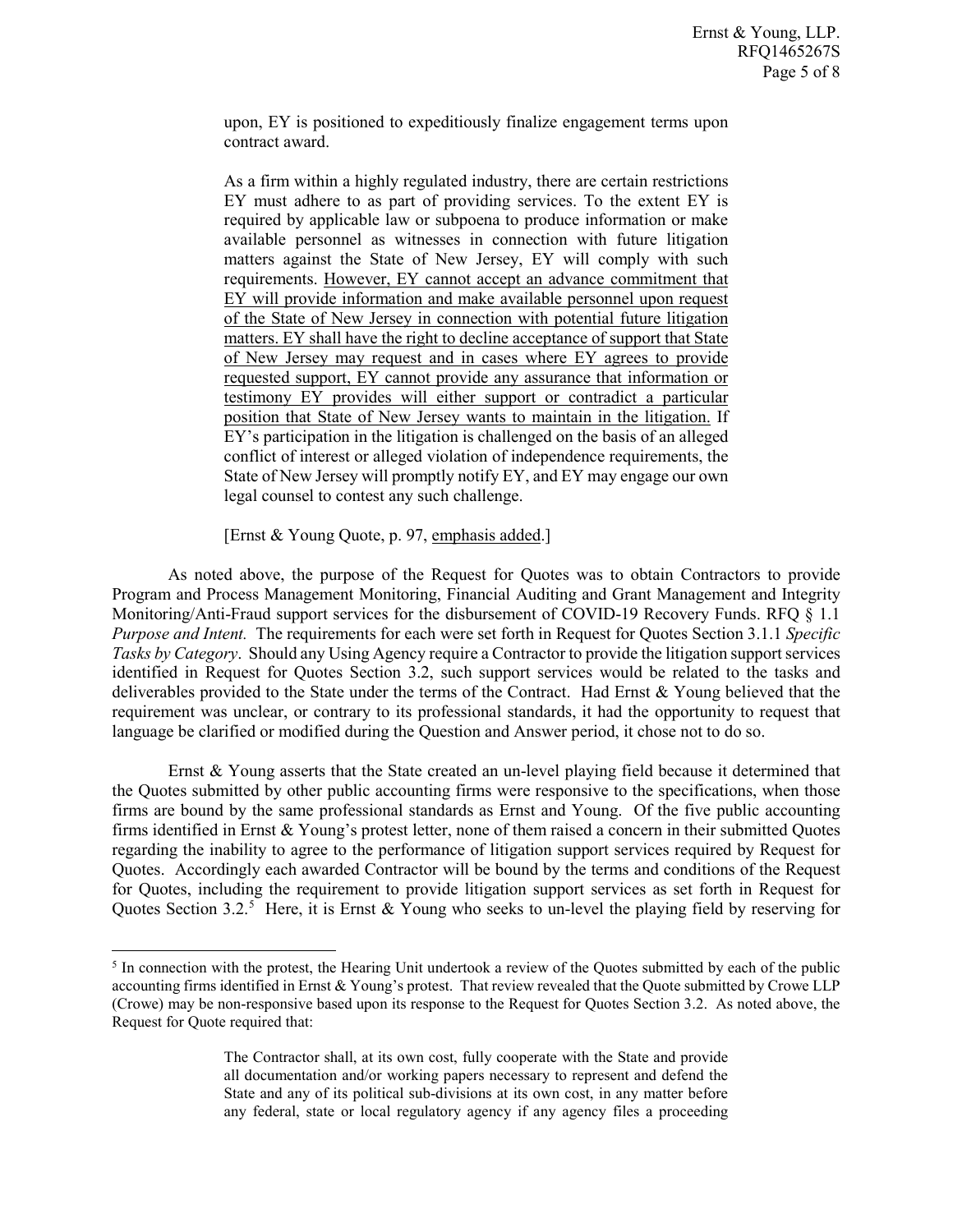upon, EY is positioned to expeditiously finalize engagement terms upon contract award.

As a firm within a highly regulated industry, there are certain restrictions EY must adhere to as part of providing services. To the extent EY is required by applicable law or subpoena to produce information or make available personnel as witnesses in connection with future litigation matters against the State of New Jersey, EY will comply with such requirements. However, EY cannot accept an advance commitment that EY will provide information and make available personnel upon request of the State of New Jersey in connection with potential future litigation matters. EY shall have the right to decline acceptance of support that State of New Jersey may request and in cases where EY agrees to provide requested support, EY cannot provide any assurance that information or testimony EY provides will either support or contradict a particular position that State of New Jersey wants to maintain in the litigation. If EY's participation in the litigation is challenged on the basis of an alleged conflict of interest or alleged violation of independence requirements, the State of New Jersey will promptly notify EY, and EY may engage our own legal counsel to contest any such challenge.

[Ernst & Young Quote, p. 97, emphasis added.]

l

As noted above, the purpose of the Request for Quotes was to obtain Contractors to provide Program and Process Management Monitoring, Financial Auditing and Grant Management and Integrity Monitoring/Anti-Fraud support services for the disbursement of COVID-19 Recovery Funds. RFQ § 1.1 *Purpose and Intent.* The requirements for each were set forth in Request for Quotes Section 3.1.1 *Specific Tasks by Category*. Should any Using Agency require a Contractor to provide the litigation support services identified in Request for Quotes Section 3.2, such support services would be related to the tasks and deliverables provided to the State under the terms of the Contract. Had Ernst & Young believed that the requirement was unclear, or contrary to its professional standards, it had the opportunity to request that language be clarified or modified during the Question and Answer period, it chose not to do so.

Ernst & Young asserts that the State created an un-level playing field because it determined that the Quotes submitted by other public accounting firms were responsive to the specifications, when those firms are bound by the same professional standards as Ernst and Young. Of the five public accounting firms identified in Ernst & Young's protest letter, none of them raised a concern in their submitted Quotes regarding the inability to agree to the performance of litigation support services required by Request for Quotes. Accordingly each awarded Contractor will be bound by the terms and conditions of the Request for Quotes, including the requirement to provide litigation support services as set forth in Request for Quotes Section 3.2.<sup>[5](#page-4-0)</sup> Here, it is Ernst & Young who seeks to un-level the playing field by reserving for

<span id="page-4-0"></span><sup>&</sup>lt;sup>5</sup> In connection with the protest, the Hearing Unit undertook a review of the Quotes submitted by each of the public accounting firms identified in Ernst & Young's protest. That review revealed that the Quote submitted by Crowe LLP (Crowe) may be non-responsive based upon its response to the Request for Quotes Section 3.2. As noted above, the Request for Quote required that:

The Contractor shall, at its own cost, fully cooperate with the State and provide all documentation and/or working papers necessary to represent and defend the State and any of its political sub-divisions at its own cost, in any matter before any federal, state or local regulatory agency if any agency files a proceeding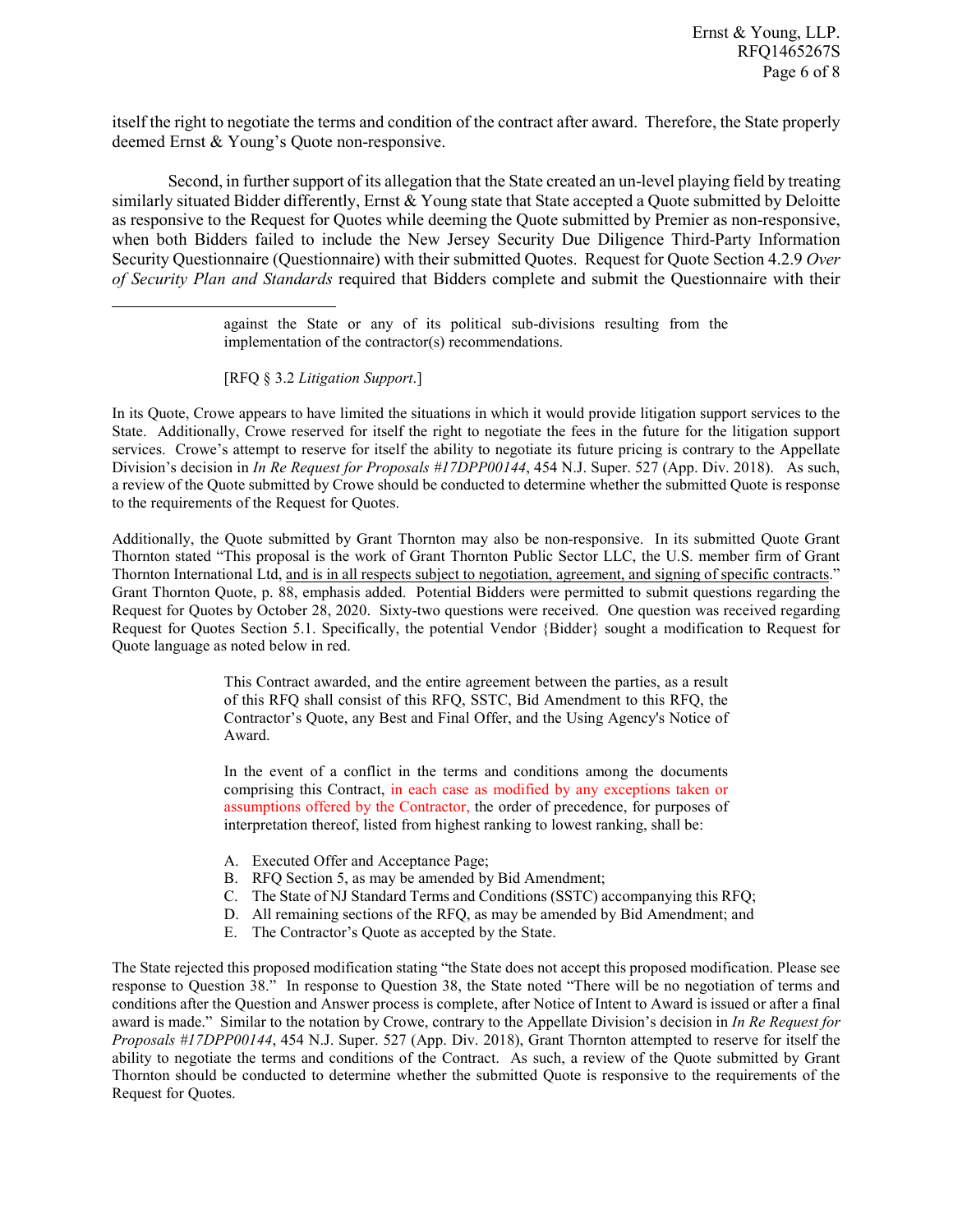itself the right to negotiate the terms and condition of the contract after award. Therefore, the State properly deemed Ernst & Young's Quote non-responsive.

Second, in further support of its allegation that the State created an un-level playing field by treating similarly situated Bidder differently, Ernst & Young state that State accepted a Quote submitted by Deloitte as responsive to the Request for Quotes while deeming the Quote submitted by Premier as non-responsive, when both Bidders failed to include the New Jersey Security Due Diligence Third-Party Information Security Questionnaire (Questionnaire) with their submitted Quotes. Request for Quote Section 4.2.9 *Over of Security Plan and Standards* required that Bidders complete and submit the Questionnaire with their

> against the State or any of its political sub-divisions resulting from the implementation of the contractor(s) recommendations.

[RFQ § 3.2 *Litigation Support*.]

l

In its Quote, Crowe appears to have limited the situations in which it would provide litigation support services to the State. Additionally, Crowe reserved for itself the right to negotiate the fees in the future for the litigation support services. Crowe's attempt to reserve for itself the ability to negotiate its future pricing is contrary to the Appellate Division's decision in *In Re Request for Proposals #17DPP00144*, 454 N.J. Super. 527 (App. Div. 2018). As such, a review of the Quote submitted by Crowe should be conducted to determine whether the submitted Quote is response to the requirements of the Request for Quotes.

Additionally, the Quote submitted by Grant Thornton may also be non-responsive. In its submitted Quote Grant Thornton stated "This proposal is the work of Grant Thornton Public Sector LLC, the U.S. member firm of Grant Thornton International Ltd, and is in all respects subject to negotiation, agreement, and signing of specific contracts." Grant Thornton Quote, p. 88, emphasis added. Potential Bidders were permitted to submit questions regarding the Request for Quotes by October 28, 2020. Sixty-two questions were received. One question was received regarding Request for Quotes Section 5.1. Specifically, the potential Vendor {Bidder} sought a modification to Request for Quote language as noted below in red.

> This Contract awarded, and the entire agreement between the parties, as a result of this RFQ shall consist of this RFQ, SSTC, Bid Amendment to this RFQ, the Contractor's Quote, any Best and Final Offer, and the Using Agency's Notice of Award.

> In the event of a conflict in the terms and conditions among the documents comprising this Contract, in each case as modified by any exceptions taken or assumptions offered by the Contractor, the order of precedence, for purposes of interpretation thereof, listed from highest ranking to lowest ranking, shall be:

- A. Executed Offer and Acceptance Page;
- B. RFQ Section 5, as may be amended by Bid Amendment;
- C. The State of NJ Standard Terms and Conditions (SSTC) accompanying this RFQ;
- D. All remaining sections of the RFQ, as may be amended by Bid Amendment; and
- E. The Contractor's Quote as accepted by the State.

The State rejected this proposed modification stating "the State does not accept this proposed modification. Please see response to Question 38." In response to Question 38, the State noted "There will be no negotiation of terms and conditions after the Question and Answer process is complete, after Notice of Intent to Award is issued or after a final award is made." Similar to the notation by Crowe, contrary to the Appellate Division's decision in *In Re Request for Proposals #17DPP00144*, 454 N.J. Super. 527 (App. Div. 2018), Grant Thornton attempted to reserve for itself the ability to negotiate the terms and conditions of the Contract. As such, a review of the Quote submitted by Grant Thornton should be conducted to determine whether the submitted Quote is responsive to the requirements of the Request for Quotes.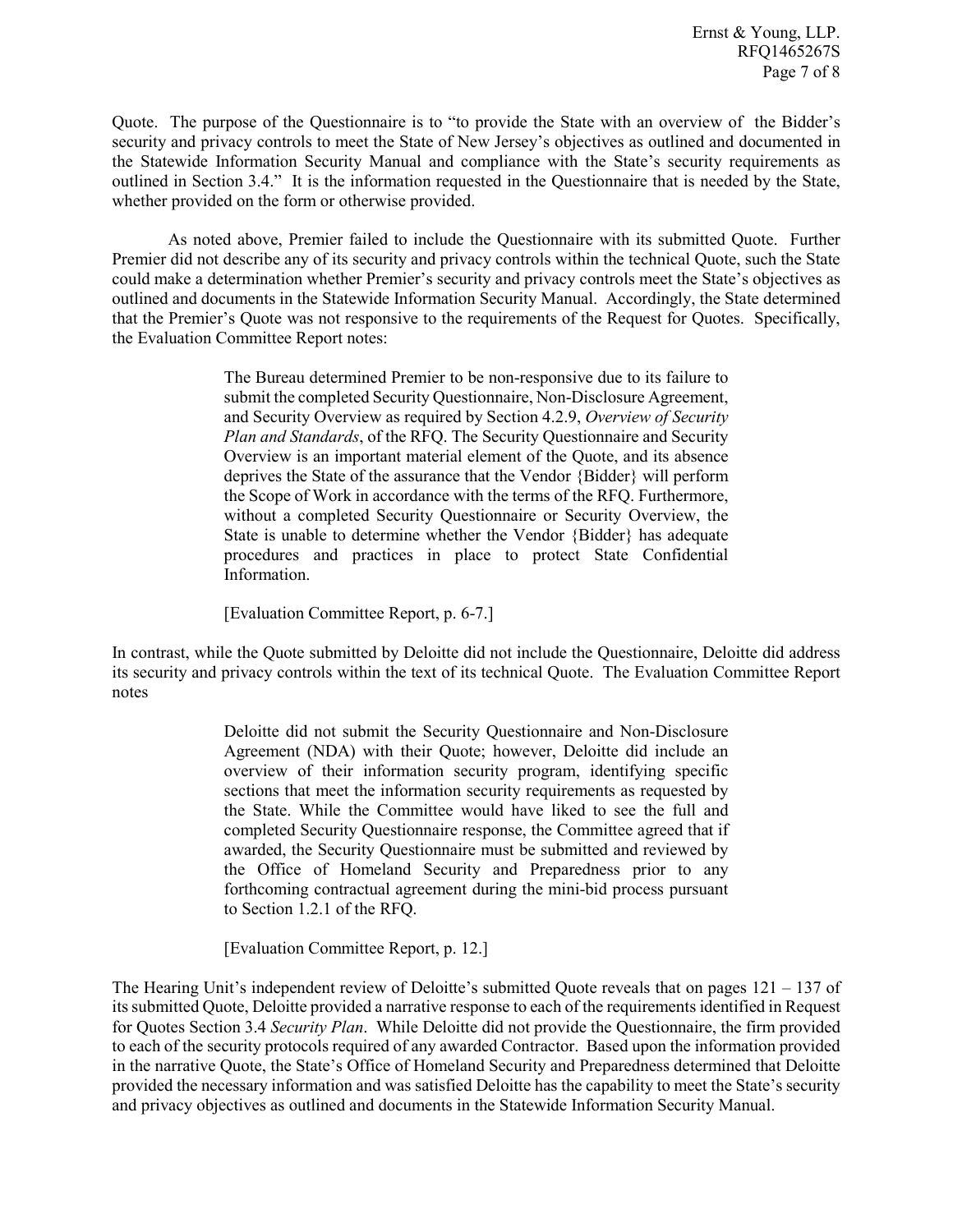Quote. The purpose of the Questionnaire is to "to provide the State with an overview of the Bidder's security and privacy controls to meet the State of New Jersey's objectives as outlined and documented in the Statewide Information Security Manual and compliance with the State's security requirements as outlined in Section 3.4." It is the information requested in the Questionnaire that is needed by the State, whether provided on the form or otherwise provided.

As noted above, Premier failed to include the Questionnaire with its submitted Quote. Further Premier did not describe any of its security and privacy controls within the technical Quote, such the State could make a determination whether Premier's security and privacy controls meet the State's objectives as outlined and documents in the Statewide Information Security Manual. Accordingly, the State determined that the Premier's Quote was not responsive to the requirements of the Request for Quotes. Specifically, the Evaluation Committee Report notes:

> The Bureau determined Premier to be non-responsive due to its failure to submit the completed Security Questionnaire, Non-Disclosure Agreement, and Security Overview as required by Section 4.2.9, *Overview of Security Plan and Standards*, of the RFQ. The Security Questionnaire and Security Overview is an important material element of the Quote, and its absence deprives the State of the assurance that the Vendor {Bidder} will perform the Scope of Work in accordance with the terms of the RFQ. Furthermore, without a completed Security Questionnaire or Security Overview, the State is unable to determine whether the Vendor {Bidder} has adequate procedures and practices in place to protect State Confidential Information.

[Evaluation Committee Report, p. 6-7.]

In contrast, while the Quote submitted by Deloitte did not include the Questionnaire, Deloitte did address its security and privacy controls within the text of its technical Quote. The Evaluation Committee Report notes

> Deloitte did not submit the Security Questionnaire and Non-Disclosure Agreement (NDA) with their Quote; however, Deloitte did include an overview of their information security program, identifying specific sections that meet the information security requirements as requested by the State. While the Committee would have liked to see the full and completed Security Questionnaire response, the Committee agreed that if awarded, the Security Questionnaire must be submitted and reviewed by the Office of Homeland Security and Preparedness prior to any forthcoming contractual agreement during the mini-bid process pursuant to Section 1.2.1 of the RFQ.

[Evaluation Committee Report, p. 12.]

The Hearing Unit's independent review of Deloitte's submitted Quote reveals that on pages  $121 - 137$  of its submitted Quote, Deloitte provided a narrative response to each of the requirements identified in Request for Quotes Section 3.4 *Security Plan*. While Deloitte did not provide the Questionnaire, the firm provided to each of the security protocols required of any awarded Contractor. Based upon the information provided in the narrative Quote, the State's Office of Homeland Security and Preparedness determined that Deloitte provided the necessary information and was satisfied Deloitte has the capability to meet the State's security and privacy objectives as outlined and documents in the Statewide Information Security Manual.